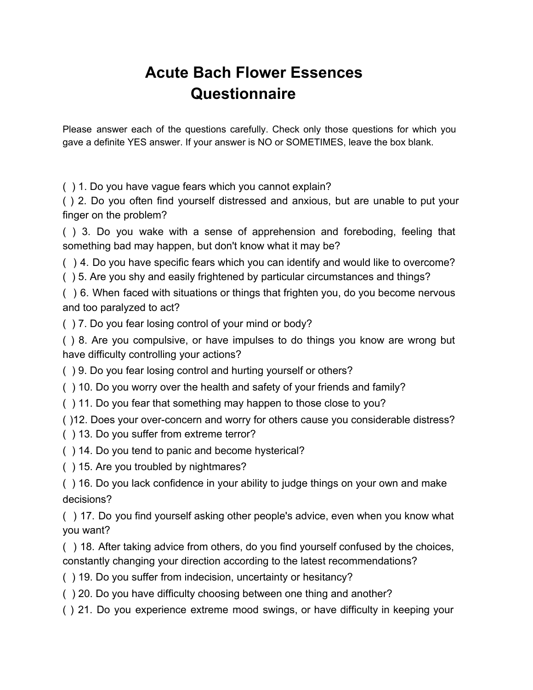## **Acute Bach Flower Essences Questionnaire**

Please answer each of the questions carefully. Check only those questions for which you gave a definite YES answer. If your answer is NO or SOMETIMES, leave the box blank.

( ) 1. Do you have vague fears which you cannot explain?

( ) 2. Do you often find yourself distressed and anxious, but are unable to put your finger on the problem?

( ) 3. Do you wake with a sense of apprehension and foreboding, feeling that something bad may happen, but don't know what it may be?

- ( ) 4. Do you have specific fears which you can identify and would like to overcome?
- ( ) 5. Are you shy and easily frightened by particular circumstances and things?

( ) 6. When faced with situations or things that frighten you, do you become nervous and too paralyzed to act?

( ) 7. Do you fear losing control of your mind or body?

( ) 8. Are you compulsive, or have impulses to do things you know are wrong but have difficulty controlling your actions?

- ( ) 9. Do you fear losing control and hurting yourself or others?
- ( ) 10. Do you worry over the health and safety of your friends and family?
- ( ) 11. Do you fear that something may happen to those close to you?

( )12. Does your over-concern and worry for others cause you considerable distress?

- ( ) 13. Do you suffer from extreme terror?
- ( ) 14. Do you tend to panic and become hysterical?
- ( ) 15. Are you troubled by nightmares?

( ) 16. Do you lack confidence in your ability to judge things on your own and make decisions?

( ) 17. Do you find yourself asking other people's advice, even when you know what you want?

( ) 18. After taking advice from others, do you find yourself confused by the choices, constantly changing your direction according to the latest recommendations?

- ( ) 19. Do you suffer from indecision, uncertainty or hesitancy?
- ( ) 20. Do you have difficulty choosing between one thing and another?
- ( ) 21. Do you experience extreme mood swings, or have difficulty in keeping your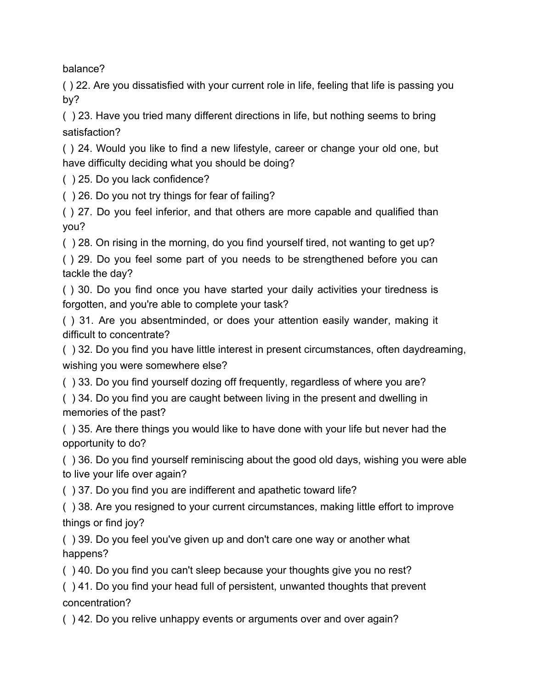balance?

( ) 22. Are you dissatisfied with your current role in life, feeling that life is passing you by?

( ) 23. Have you tried many different directions in life, but nothing seems to bring satisfaction?

( ) 24. Would you like to find a new lifestyle, career or change your old one, but have difficulty deciding what you should be doing?

( ) 25. Do you lack confidence?

( ) 26. Do you not try things for fear of failing?

( ) 27. Do you feel inferior, and that others are more capable and qualified than you?

( ) 28. On rising in the morning, do you find yourself tired, not wanting to get up?

( ) 29. Do you feel some part of you needs to be strengthened before you can tackle the day?

( ) 30. Do you find once you have started your daily activities your tiredness is forgotten, and you're able to complete your task?

( ) 31. Are you absentminded, or does your attention easily wander, making it difficult to concentrate?

( ) 32. Do you find you have little interest in present circumstances, often daydreaming, wishing you were somewhere else?

( ) 33. Do you find yourself dozing off frequently, regardless of where you are?

( ) 34. Do you find you are caught between living in the present and dwelling in memories of the past?

( ) 35. Are there things you would like to have done with your life but never had the opportunity to do?

( ) 36. Do you find yourself reminiscing about the good old days, wishing you were able to live your life over again?

( ) 37. Do you find you are indifferent and apathetic toward life?

( ) 38. Are you resigned to your current circumstances, making little effort to improve things or find joy?

( ) 39. Do you feel you've given up and don't care one way or another what happens?

( ) 40. Do you find you can't sleep because your thoughts give you no rest?

( ) 41. Do you find your head full of persistent, unwanted thoughts that prevent concentration?

( ) 42. Do you relive unhappy events or arguments over and over again?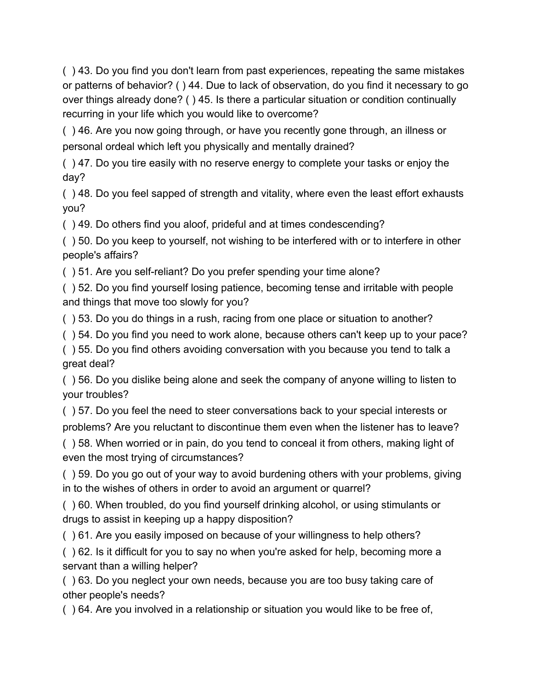( ) 43. Do you find you don't learn from past experiences, repeating the same mistakes or patterns of behavior? ( ) 44. Due to lack of observation, do you find it necessary to go over things already done? ( ) 45. Is there a particular situation or condition continually recurring in your life which you would like to overcome?

( ) 46. Are you now going through, or have you recently gone through, an illness or personal ordeal which left you physically and mentally drained?

( ) 47. Do you tire easily with no reserve energy to complete your tasks or enjoy the day?

( ) 48. Do you feel sapped of strength and vitality, where even the least effort exhausts you?

( ) 49. Do others find you aloof, prideful and at times condescending?

( ) 50. Do you keep to yourself, not wishing to be interfered with or to interfere in other people's affairs?

( ) 51. Are you self-reliant? Do you prefer spending your time alone?

( ) 52. Do you find yourself losing patience, becoming tense and irritable with people and things that move too slowly for you?

( ) 53. Do you do things in a rush, racing from one place or situation to another?

( ) 54. Do you find you need to work alone, because others can't keep up to your pace?

( ) 55. Do you find others avoiding conversation with you because you tend to talk a great deal?

( ) 56. Do you dislike being alone and seek the company of anyone willing to listen to your troubles?

( ) 57. Do you feel the need to steer conversations back to your special interests or problems? Are you reluctant to discontinue them even when the listener has to leave?

( ) 58. When worried or in pain, do you tend to conceal it from others, making light of even the most trying of circumstances?

( ) 59. Do you go out of your way to avoid burdening others with your problems, giving in to the wishes of others in order to avoid an argument or quarrel?

( ) 60. When troubled, do you find yourself drinking alcohol, or using stimulants or drugs to assist in keeping up a happy disposition?

( ) 61. Are you easily imposed on because of your willingness to help others?

( ) 62. Is it difficult for you to say no when you're asked for help, becoming more a servant than a willing helper?

( ) 63. Do you neglect your own needs, because you are too busy taking care of other people's needs?

( ) 64. Are you involved in a relationship or situation you would like to be free of,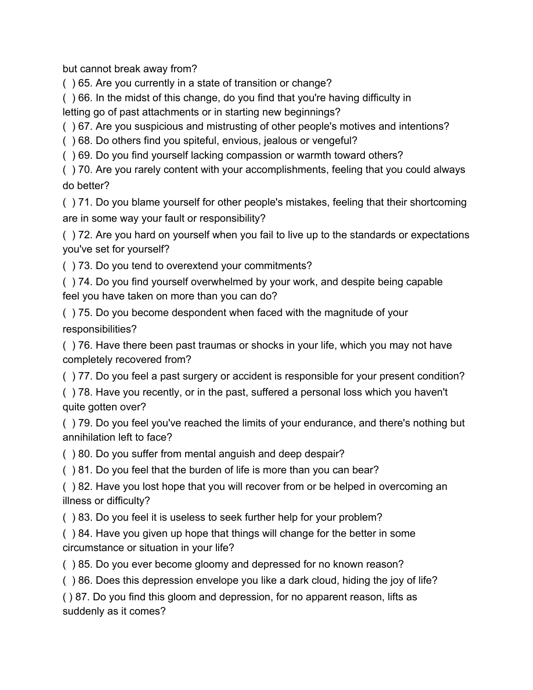but cannot break away from?

( ) 65. Are you currently in a state of transition or change?

( ) 66. In the midst of this change, do you find that you're having difficulty in

letting go of past attachments or in starting new beginnings?

( ) 67. Are you suspicious and mistrusting of other people's motives and intentions?

( ) 68. Do others find you spiteful, envious, jealous or vengeful?

( ) 69. Do you find yourself lacking compassion or warmth toward others?

( ) 70. Are you rarely content with your accomplishments, feeling that you could always do better?

( ) 71. Do you blame yourself for other people's mistakes, feeling that their shortcoming are in some way your fault or responsibility?

( ) 72. Are you hard on yourself when you fail to live up to the standards or expectations you've set for yourself?

( ) 73. Do you tend to overextend your commitments?

( ) 74. Do you find yourself overwhelmed by your work, and despite being capable feel you have taken on more than you can do?

( ) 75. Do you become despondent when faced with the magnitude of your responsibilities?

( ) 76. Have there been past traumas or shocks in your life, which you may not have completely recovered from?

( ) 77. Do you feel a past surgery or accident is responsible for your present condition?

( ) 78. Have you recently, or in the past, suffered a personal loss which you haven't quite gotten over?

( ) 79. Do you feel you've reached the limits of your endurance, and there's nothing but annihilation left to face?

( ) 80. Do you suffer from mental anguish and deep despair?

( ) 81. Do you feel that the burden of life is more than you can bear?

( ) 82. Have you lost hope that you will recover from or be helped in overcoming an illness or difficulty?

( ) 83. Do you feel it is useless to seek further help for your problem?

( ) 84. Have you given up hope that things will change for the better in some circumstance or situation in your life?

( ) 85. Do you ever become gloomy and depressed for no known reason?

( ) 86. Does this depression envelope you like a dark cloud, hiding the joy of life?

( ) 87. Do you find this gloom and depression, for no apparent reason, lifts as suddenly as it comes?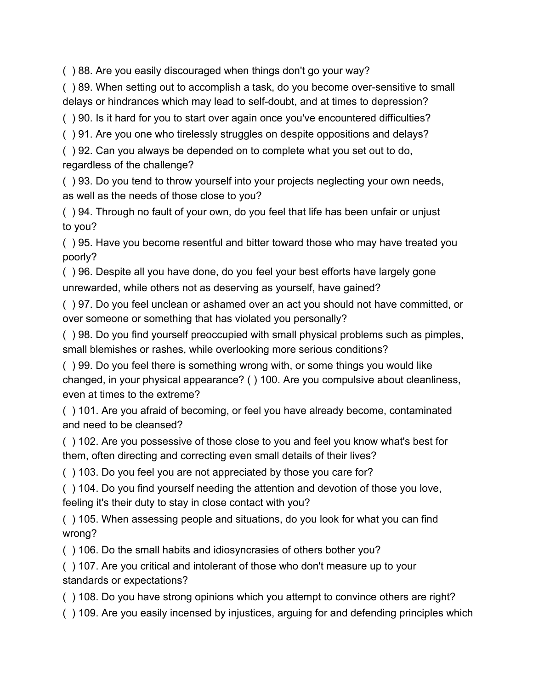( ) 88. Are you easily discouraged when things don't go your way?

( ) 89. When setting out to accomplish a task, do you become over-sensitive to small delays or hindrances which may lead to self-doubt, and at times to depression?

( ) 90. Is it hard for you to start over again once you've encountered difficulties?

( ) 91. Are you one who tirelessly struggles on despite oppositions and delays?

( ) 92. Can you always be depended on to complete what you set out to do, regardless of the challenge?

( ) 93. Do you tend to throw yourself into your projects neglecting your own needs, as well as the needs of those close to you?

( ) 94. Through no fault of your own, do you feel that life has been unfair or unjust to you?

( ) 95. Have you become resentful and bitter toward those who may have treated you poorly?

( ) 96. Despite all you have done, do you feel your best efforts have largely gone unrewarded, while others not as deserving as yourself, have gained?

( ) 97. Do you feel unclean or ashamed over an act you should not have committed, or over someone or something that has violated you personally?

( ) 98. Do you find yourself preoccupied with small physical problems such as pimples, small blemishes or rashes, while overlooking more serious conditions?

( ) 99. Do you feel there is something wrong with, or some things you would like changed, in your physical appearance? ( ) 100. Are you compulsive about cleanliness, even at times to the extreme?

( ) 101. Are you afraid of becoming, or feel you have already become, contaminated and need to be cleansed?

( ) 102. Are you possessive of those close to you and feel you know what's best for them, often directing and correcting even small details of their lives?

( ) 103. Do you feel you are not appreciated by those you care for?

( ) 104. Do you find yourself needing the attention and devotion of those you love, feeling it's their duty to stay in close contact with you?

( ) 105. When assessing people and situations, do you look for what you can find wrong?

( ) 106. Do the small habits and idiosyncrasies of others bother you?

( ) 107. Are you critical and intolerant of those who don't measure up to your standards or expectations?

( ) 108. Do you have strong opinions which you attempt to convince others are right?

( ) 109. Are you easily incensed by injustices, arguing for and defending principles which